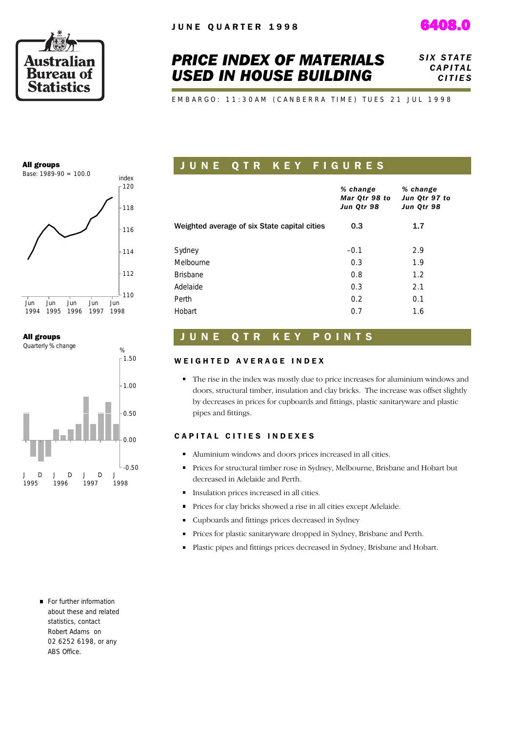



# *PRICE INDEX OF MATERIALS USED IN HOUSE BUILDING*

**SIX STATE**  *C A P I T A L C I T I E S*

EMBARGO: 11:30AM (CANBERRA TIME) TUES 21 JUL 1998

#### All groups



### All groups



### J U N E Q T R K E Y F I G U R E S *% change Mar Qtr 98 to Jun Qtr 98 % change Jun Qtr 97 to Jun Qtr 98* Weighted average of six State capital cities 0.3 1.7 Sydney – 2.9 Melbourne 1.9 Brisbane 1.2 Adelaide 2.1 Perth **0.2** 0.1 Hobart 0.7 1.6

### UNE QTR KEY POINTS

#### WEIGHTED AVERAGE INDEX

The rise in the index was mostly due to price increases for aluminium windows and doors, structural timber, insulation and clay bricks. The increase was offset slightly by decreases in prices for cupboards and fittings, plastic sanitaryware and plastic pipes and fittings.

#### CAPITAL CITIES INDEXES

- Aluminium windows and doors prices increased in all cities.
- **Prices for structural timber rose in Sydney, Melbourne, Brisbane and Hobart but** decreased in Adelaide and Perth.
- Insulation prices increased in all cities.
- Prices for clay bricks showed a rise in all cities except Adelaide.  $\blacksquare$
- Cupboards and fittings prices decreased in Sydney
- $\blacksquare$ Prices for plastic sanitaryware dropped in Sydney, Brisbane and Perth.
- Plastic pipes and fittings prices decreased in Sydney, Brisbane and Hobart.

For further information about these and related statistics, contact Robert Adams on 02 6252 6198, or any ABS Office.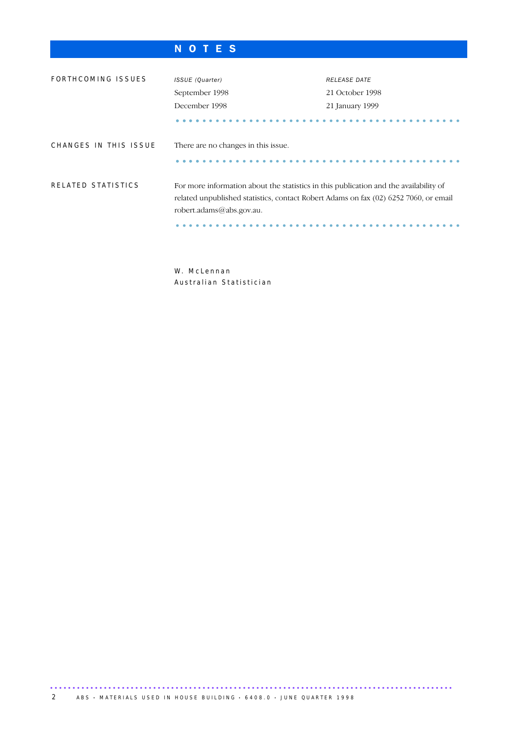## N O T E S

| FORTHCOMING ISSUES    | ISSUE (Quarter)<br>September 1998<br>December 1998                                                                                                                                                        | <b>RELEASE DATE</b><br>21 October 1998<br>21 January 1999 |
|-----------------------|-----------------------------------------------------------------------------------------------------------------------------------------------------------------------------------------------------------|-----------------------------------------------------------|
| CHANGES IN THIS ISSUE | There are no changes in this issue.                                                                                                                                                                       |                                                           |
| RELATED STATISTICS    | For more information about the statistics in this publication and the availability of<br>related unpublished statistics, contact Robert Adams on fax (02) 6252 7060, or email<br>robert.adams@abs.gov.au. |                                                           |

W. McLennan Australian Statistician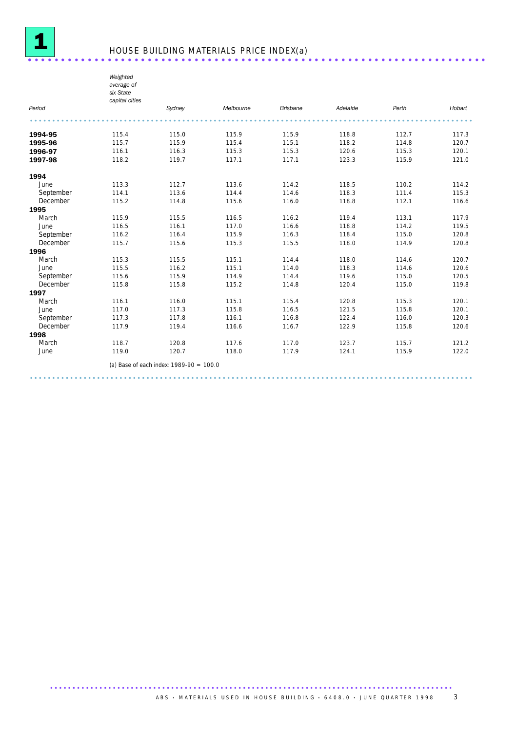

# <sup>1</sup> HOUSE BUILDING MATERIALS PRICE INDEX(a) ..................................................................... .

*Weighted average of six State*

|           | טוא טנענע<br>capital cities |                                                                                                                                                                                                                               |           |                 |          |       |        |
|-----------|-----------------------------|-------------------------------------------------------------------------------------------------------------------------------------------------------------------------------------------------------------------------------|-----------|-----------------|----------|-------|--------|
| Period    |                             | Sydney                                                                                                                                                                                                                        | Melbourne | <b>Brisbane</b> | Adelaide | Perth | Hobart |
|           |                             |                                                                                                                                                                                                                               |           |                 |          |       |        |
| 1994-95   | 115.4                       | 115.0                                                                                                                                                                                                                         | 115.9     | 115.9           | 118.8    | 112.7 | 117.3  |
| 1995-96   | 115.7                       | 115.9                                                                                                                                                                                                                         | 115.4     | 115.1           | 118.2    | 114.8 | 120.7  |
| 1996-97   | 116.1                       | 116.3                                                                                                                                                                                                                         | 115.3     | 115.3           | 120.6    | 115.3 | 120.1  |
| 1997-98   | 118.2                       | 119.7                                                                                                                                                                                                                         | 117.1     | 117.1           | 123.3    | 115.9 | 121.0  |
| 1994      |                             |                                                                                                                                                                                                                               |           |                 |          |       |        |
| June      | 113.3                       | 112.7                                                                                                                                                                                                                         | 113.6     | 114.2           | 118.5    | 110.2 | 114.2  |
| September | 114.1                       | 113.6                                                                                                                                                                                                                         | 114.4     | 114.6           | 118.3    | 111.4 | 115.3  |
| December  | 115.2                       | 114.8                                                                                                                                                                                                                         | 115.6     | 116.0           | 118.8    | 112.1 | 116.6  |
| 1995      |                             |                                                                                                                                                                                                                               |           |                 |          |       |        |
| March     | 115.9                       | 115.5                                                                                                                                                                                                                         | 116.5     | 116.2           | 119.4    | 113.1 | 117.9  |
| June      | 116.5                       | 116.1                                                                                                                                                                                                                         | 117.0     | 116.6           | 118.8    | 114.2 | 119.5  |
| September | 116.2                       | 116.4                                                                                                                                                                                                                         | 115.9     | 116.3           | 118.4    | 115.0 | 120.8  |
| December  | 115.7                       | 115.6                                                                                                                                                                                                                         | 115.3     | 115.5           | 118.0    | 114.9 | 120.8  |
| 1996      |                             |                                                                                                                                                                                                                               |           |                 |          |       |        |
| March     | 115.3                       | 115.5                                                                                                                                                                                                                         | 115.1     | 114.4           | 118.0    | 114.6 | 120.7  |
| June      | 115.5                       | 116.2                                                                                                                                                                                                                         | 115.1     | 114.0           | 118.3    | 114.6 | 120.6  |
| September | 115.6                       | 115.9                                                                                                                                                                                                                         | 114.9     | 114.4           | 119.6    | 115.0 | 120.5  |
| December  | 115.8                       | 115.8                                                                                                                                                                                                                         | 115.2     | 114.8           | 120.4    | 115.0 | 119.8  |
| 1997      |                             |                                                                                                                                                                                                                               |           |                 |          |       |        |
| March     | 116.1                       | 116.0                                                                                                                                                                                                                         | 115.1     | 115.4           | 120.8    | 115.3 | 120.1  |
| June      | 117.0                       | 117.3                                                                                                                                                                                                                         | 115.8     | 116.5           | 121.5    | 115.8 | 120.1  |
| September | 117.3                       | 117.8                                                                                                                                                                                                                         | 116.1     | 116.8           | 122.4    | 116.0 | 120.3  |
| December  | 117.9                       | 119.4                                                                                                                                                                                                                         | 116.6     | 116.7           | 122.9    | 115.8 | 120.6  |
| 1998      |                             |                                                                                                                                                                                                                               |           |                 |          |       |        |
| March     | 118.7                       | 120.8                                                                                                                                                                                                                         | 117.6     | 117.0           | 123.7    | 115.7 | 121.2  |
| June      | 119.0                       | 120.7                                                                                                                                                                                                                         | 118.0     | 117.9           | 124.1    | 115.9 | 122.0  |
|           |                             | $(1)$ Description is denoted and $(0)$ 0.000 0.000 0.000 0.000 0.000 0.000 0.000 0.000 0.000 0.000 0.000 0.000 0.000 0.000 0.000 0.000 0.000 0.000 0.000 0.000 0.000 0.000 0.000 0.000 0.000 0.000 0.000 0.000 0.000 0.000 0. |           |                 |          |       |        |

...................................................................................................

(a) Base of each index: 1989-90 = 100.0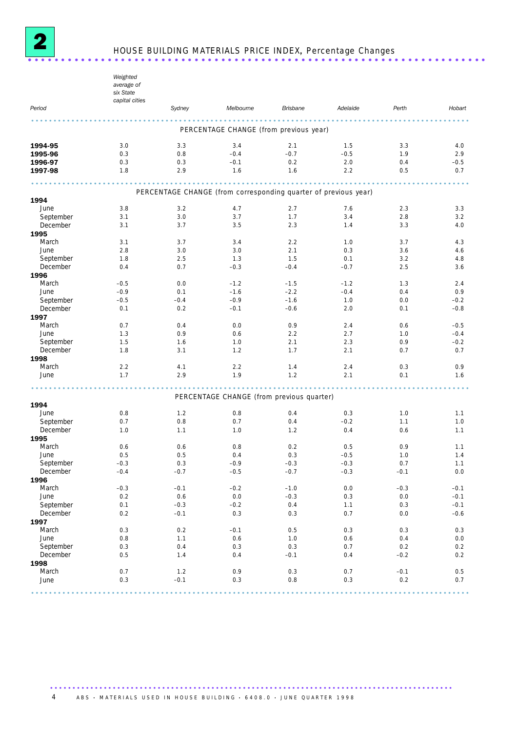

# <sup>2</sup> HOUSE BUILDING MATERIALS PRICE INDEX, Percentage Changes ..................................................................... .

|                       | Weighted<br>average of<br>six State<br>capital cities |               |                                                                 |                 |               |            |                  |
|-----------------------|-------------------------------------------------------|---------------|-----------------------------------------------------------------|-----------------|---------------|------------|------------------|
| Period                |                                                       | Sydney        | Melbourne                                                       | <b>Brisbane</b> | Adelaide      | Perth      | Hobart           |
|                       |                                                       |               |                                                                 |                 |               |            |                  |
|                       |                                                       |               | PERCENTAGE CHANGE (from previous year)                          |                 |               |            |                  |
| 1994-95               | 3.0                                                   | 3.3           | 3.4                                                             | 2.1             | 1.5           | 3.3        | 4.0              |
| 1995-96               | 0.3                                                   | 0.8           | $-0.4$                                                          | $-0.7$          | $-0.5$        | 1.9        | 2.9              |
| 1996-97               | 0.3                                                   | 0.3           | $-0.1$                                                          | 0.2             | 2.0           | 0.4        | $-0.5$           |
| 1997-98               | 1.8                                                   | 2.9           | 1.6                                                             | 1.6             | 2.2           | 0.5        | 0.7              |
|                       |                                                       |               | <b><i><u><u>AAAAAAA</u></u></i></b>                             |                 |               |            |                  |
| 1994                  |                                                       |               | PERCENTAGE CHANGE (from corresponding quarter of previous year) |                 |               |            |                  |
| June                  | 3.8                                                   | 3.2           | 4.7                                                             | 2.7             | 7.6           | 2.3        | 3.3              |
| September             | 3.1                                                   | 3.0           | 3.7                                                             | 1.7             | 3.4           | 2.8        | 3.2              |
| December              | 3.1                                                   | 3.7           | 3.5                                                             | 2.3             | 1.4           | 3.3        | 4.0              |
| 1995                  |                                                       |               |                                                                 |                 |               |            |                  |
| March                 | 3.1                                                   | 3.7           | 3.4                                                             | 2.2             | 1.0           | 3.7        | 4.3              |
| June                  | 2.8                                                   | 3.0           | 3.0                                                             | 2.1             | 0.3           | 3.6        | 4.6              |
| September<br>December | 1.8<br>0.4                                            | 2.5<br>0.7    | 1.3<br>$-0.3$                                                   | 1.5<br>$-0.4$   | 0.1<br>$-0.7$ | 3.2<br>2.5 | 4.8<br>3.6       |
| 1996                  |                                                       |               |                                                                 |                 |               |            |                  |
| March                 | $-0.5$                                                | 0.0           | $-1.2$                                                          | $-1.5$          | $-1.2$        | 1.3        | 2.4              |
| June                  | $-0.9$                                                | 0.1           | $-1.6$                                                          | $-2.2$          | $-0.4$        | 0.4        | 0.9              |
| September             | $-0.5$                                                | $-0.4$        | $-0.9$                                                          | $-1.6$          | 1.0           | 0.0        | $-0.2$           |
| December              | 0.1                                                   | 0.2           | $-0.1$                                                          | $-0.6$          | 2.0           | 0.1        | $-0.8$           |
| 1997                  |                                                       |               |                                                                 |                 |               |            |                  |
| March                 | 0.7                                                   | 0.4           | 0.0                                                             | 0.9             | 2.4           | 0.6        | $-0.5$           |
| June                  | 1.3                                                   | 0.9           | 0.6                                                             | 2.2             | 2.7           | 1.0        | $-0.4$           |
| September<br>December | 1.5<br>1.8                                            | 1.6<br>3.1    | 1.0<br>1.2                                                      | 2.1<br>1.7      | 2.3<br>2.1    | 0.9<br>0.7 | $-0.2$<br>0.7    |
| 1998                  |                                                       |               |                                                                 |                 |               |            |                  |
| March                 | 2.2                                                   | 4.1           | 2.2                                                             | 1.4             | 2.4           | 0.3        | 0.9              |
| June                  | 1.7                                                   | 2.9           | 1.9                                                             | 1.2             | 2.1           | 0.1        | 1.6              |
|                       |                                                       |               |                                                                 |                 |               |            |                  |
|                       |                                                       |               | PERCENTAGE CHANGE (from previous quarter)                       |                 |               |            |                  |
| 1994                  |                                                       |               |                                                                 |                 |               |            |                  |
| June                  | 0.8                                                   | 1.2           | 0.8                                                             | 0.4             | 0.3           | 1.0        | 1.1              |
| September<br>December | 0.7<br>1.0                                            | 0.8<br>1.1    | 0.7<br>1.0                                                      | 0.4<br>1.2      | $-0.2$<br>0.4 | 1.1<br>0.6 | 1.0<br>1.1       |
| 1995                  |                                                       |               |                                                                 |                 |               |            |                  |
| March                 | 0.6                                                   | 0.6           | 0.8                                                             | 0.2             | 0.5           | 0.9        | 1.1              |
| June                  | 0.5                                                   | 0.5           | 0.4                                                             | 0.3             | $-0.5$        | 1.0        | 1.4              |
| September             | $-0.3$                                                | 0.3           | $-0.9$                                                          | $-0.3$          | $-0.3$        | 0.7        | 1.1              |
| December              | $-0.4$                                                | $-0.7$        | $-0.5$                                                          | $-0.7$          | $-0.3$        | $-0.1$     | $0.0\,$          |
| 1996                  |                                                       |               |                                                                 |                 |               |            |                  |
| March                 | $-0.3$                                                | $-0.1$        | $-0.2$                                                          | $-1.0$          | 0.0           | $-0.3$     | $-0.1$           |
| June<br>September     | $0.2\,$<br>0.1                                        | 0.6<br>$-0.3$ | $0.0\,$                                                         | $-0.3$<br>0.4   | 0.3           | 0.0        | $-0.1$           |
| December              | 0.2                                                   | $-0.1$        | $-0.2$<br>0.3                                                   | 0.3             | 1.1<br>0.7    | 0.3<br>0.0 | $-0.1$<br>$-0.6$ |
| 1997                  |                                                       |               |                                                                 |                 |               |            |                  |
| March                 | 0.3                                                   | 0.2           | $-0.1$                                                          | 0.5             | 0.3           | 0.3        | 0.3              |
| June                  | $0.8\,$                                               | 1.1           | $0.6\,$                                                         | 1.0             | 0.6           | 0.4        | 0.0              |
| September             | $0.3\,$                                               | 0.4           | 0.3                                                             | 0.3             | 0.7           | 0.2        | 0.2              |
| December              | 0.5                                                   | 1.4           | 0.4                                                             | $-0.1$          | 0.4           | $-0.2$     | 0.2              |
| 1998                  |                                                       |               |                                                                 |                 |               |            |                  |
| March                 | 0.7                                                   | 1.2           | 0.9                                                             | 0.3             | 0.7           | $-0.1$     | 0.5              |
| June                  | 0.3                                                   | $-0.1$        | 0.3                                                             | 0.8             | 0.3           | 0.2        | 0.7              |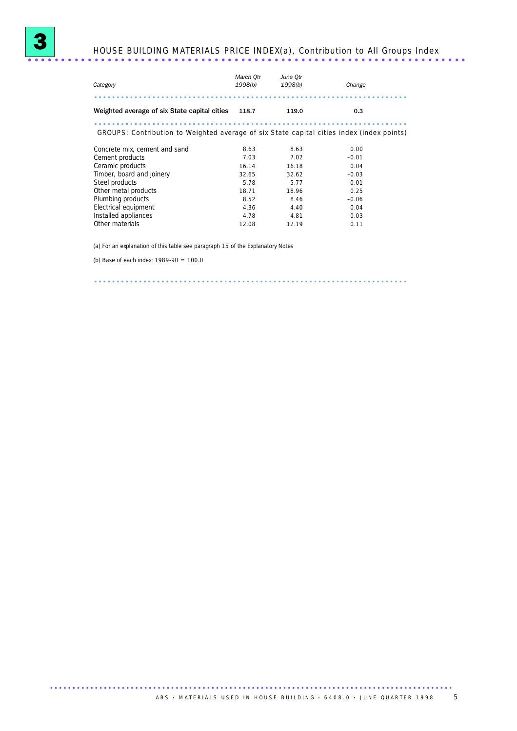

| Category                                                                                  | March Otr<br>1998(b) | June Otr<br>1998(b) | Change  |
|-------------------------------------------------------------------------------------------|----------------------|---------------------|---------|
|                                                                                           |                      |                     |         |
| Weighted average of six State capital cities                                              | 118.7                | 119.0               | 0.3     |
| GROUPS: Contribution to Weighted average of six State capital cities index (index points) |                      |                     |         |
| Concrete mix, cement and sand                                                             | 8.63                 | 8.63                | 0.00    |
| Cement products                                                                           | 7.03                 | 7.02                | $-0.01$ |
| Ceramic products                                                                          | 16.14                | 16.18               | 0.04    |
| Timber, board and joinery                                                                 | 32.65                | 32.62               | $-0.03$ |
| Steel products                                                                            | 5.78                 | 5.77                | $-0.01$ |
| Other metal products                                                                      | 18.71                | 18.96               | 0.25    |
| Plumbing products                                                                         | 8.52                 | 8.46                | $-0.06$ |
| Electrical equipment                                                                      | 4.36                 | 4.40                | 0.04    |
| Installed appliances                                                                      | 4.78                 | 4.81                | 0.03    |
| Other materials                                                                           | 12.08                | 12.19               | 0.11    |

(a) For an explanation of this table see paragraph 15 of the Explanatory Notes

(b) Base of each index: 1989-90 = 100.0

3

...................................................................... .....................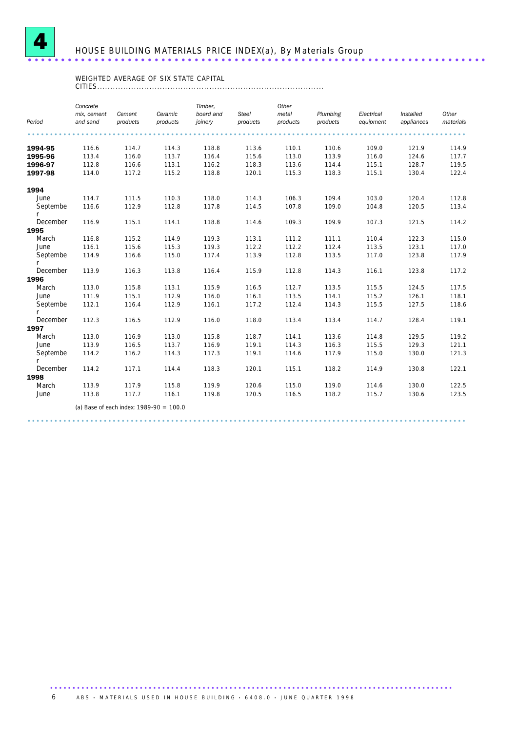

# HOUSE BUILDING MATERIALS PRICE INDEX(a), By Materials Group ..................................................................... .

### WEIGHTED AVERAGE OF SIX STATE CAPITAL

CITIES.......................................................................................

| Period        | Concrete<br>mix, cement<br>and sand | Cement<br>products | Ceramic<br>products                       | Timber,<br>board and<br>joinery | <b>Steel</b><br>products | Other<br>metal<br>products | Plumbing<br>products | Electrical<br>equipment | Installed<br>appliances | Other<br>materials |
|---------------|-------------------------------------|--------------------|-------------------------------------------|---------------------------------|--------------------------|----------------------------|----------------------|-------------------------|-------------------------|--------------------|
|               |                                     |                    |                                           |                                 |                          |                            |                      |                         |                         |                    |
|               |                                     |                    |                                           |                                 |                          |                            |                      |                         |                         |                    |
| 1994-95       | 116.6                               | 114.7              | 114.3                                     | 118.8                           | 113.6                    | 110.1                      | 110.6                | 109.0                   | 121.9                   | 114.9              |
| 1995-96       | 113.4                               | 116.0              | 113.7                                     | 116.4                           | 115.6                    | 113.0                      | 113.9                | 116.0                   | 124.6                   | 117.7              |
| 1996-97       | 112.8                               | 116.6              | 113.1                                     | 116.2                           | 118.3                    | 113.6                      | 114.4                | 115.1                   | 128.7                   | 119.5              |
| 1997-98       | 114.0                               | 117.2              | 115.2                                     | 118.8                           | 120.1                    | 115.3                      | 118.3                | 115.1                   | 130.4                   | 122.4              |
| 1994          |                                     |                    |                                           |                                 |                          |                            |                      |                         |                         |                    |
| June          | 114.7                               | 111.5              | 110.3                                     | 118.0                           | 114.3                    | 106.3                      | 109.4                | 103.0                   | 120.4                   | 112.8              |
| Septembe      | 116.6                               | 112.9              | 112.8                                     | 117.8                           | 114.5                    | 107.8                      | 109.0                | 104.8                   | 120.5                   | 113.4              |
| December      | 116.9                               | 115.1              | 114.1                                     | 118.8                           | 114.6                    | 109.3                      | 109.9                | 107.3                   | 121.5                   | 114.2              |
| 1995          |                                     |                    |                                           |                                 |                          |                            |                      |                         |                         |                    |
| March         | 116.8                               | 115.2              | 114.9                                     | 119.3                           | 113.1                    | 111.2                      | 111.1                | 110.4                   | 122.3                   | 115.0              |
| June          | 116.1                               | 115.6              | 115.3                                     | 119.3                           | 112.2                    | 112.2                      | 112.4                | 113.5                   | 123.1                   | 117.0              |
| Septembe      | 114.9                               | 116.6              | 115.0                                     | 117.4                           | 113.9                    | 112.8                      | 113.5                | 117.0                   | 123.8                   | 117.9              |
| December      | 113.9                               | 116.3              | 113.8                                     | 116.4                           | 115.9                    | 112.8                      | 114.3                | 116.1                   | 123.8                   | 117.2              |
| 1996          |                                     |                    |                                           |                                 |                          |                            |                      |                         |                         |                    |
| March         | 113.0                               | 115.8              | 113.1                                     | 115.9                           | 116.5                    | 112.7                      | 113.5                | 115.5                   | 124.5                   | 117.5              |
| June          | 111.9                               | 115.1              | 112.9                                     | 116.0                           | 116.1                    | 113.5                      | 114.1                | 115.2                   | 126.1                   | 118.1              |
| Septembe<br>r | 112.1                               | 116.4              | 112.9                                     | 116.1                           | 117.2                    | 112.4                      | 114.3                | 115.5                   | 127.5                   | 118.6              |
| December      | 112.3                               | 116.5              | 112.9                                     | 116.0                           | 118.0                    | 113.4                      | 113.4                | 114.7                   | 128.4                   | 119.1              |
| 1997          |                                     |                    |                                           |                                 |                          |                            |                      |                         |                         |                    |
| March         | 113.0                               | 116.9              | 113.0                                     | 115.8                           | 118.7                    | 114.1                      | 113.6                | 114.8                   | 129.5                   | 119.2              |
| June          | 113.9                               | 116.5              | 113.7                                     | 116.9                           | 119.1                    | 114.3                      | 116.3                | 115.5                   | 129.3                   | 121.1              |
| Septembe<br>r | 114.2                               | 116.2              | 114.3                                     | 117.3                           | 119.1                    | 114.6                      | 117.9                | 115.0                   | 130.0                   | 121.3              |
| December      | 114.2                               | 117.1              | 114.4                                     | 118.3                           | 120.1                    | 115.1                      | 118.2                | 114.9                   | 130.8                   | 122.1              |
| 1998          |                                     |                    |                                           |                                 |                          |                            |                      |                         |                         |                    |
| March         | 113.9                               | 117.9              | 115.8                                     | 119.9                           | 120.6                    | 115.0                      | 119.0                | 114.6                   | 130.0                   | 122.5              |
| June          | 113.8                               | 117.7              | 116.1                                     | 119.8                           | 120.5                    | 116.5                      | 118.2                | 115.7                   | 130.6                   | 123.5              |
|               |                                     |                    | (a) Base of each index: $1989-90 = 100.0$ |                                 |                          |                            |                      |                         |                         |                    |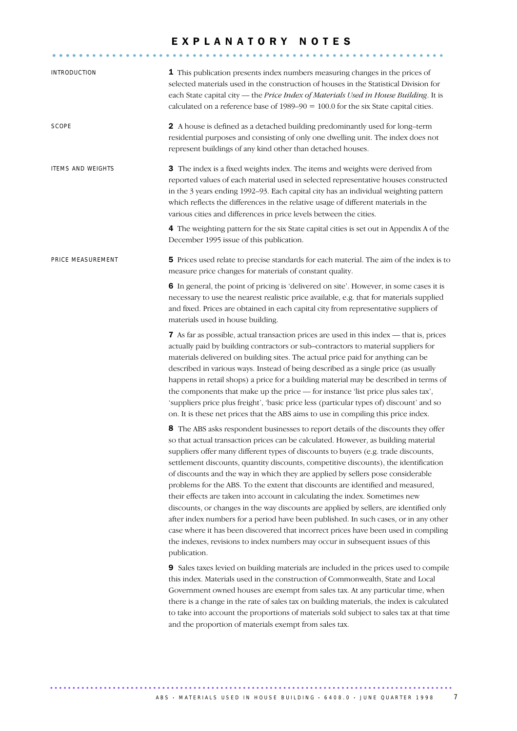## E X P L A N A T O R Y N O T E S

| INTRODUCTION             | 1 This publication presents index numbers measuring changes in the prices of<br>selected materials used in the construction of houses in the Statistical Division for<br>each State capital city - the Price Index of Materials Used in House Building. It is<br>calculated on a reference base of $1989-90 = 100.0$ for the six State capital cities.                                                                                                                                                                                                                                                                                                                                                                                                                                                                                                                                                                                                                                                                                                                                                                                                                                                                                                                                                                                                                                                                                                                                                    |
|--------------------------|-----------------------------------------------------------------------------------------------------------------------------------------------------------------------------------------------------------------------------------------------------------------------------------------------------------------------------------------------------------------------------------------------------------------------------------------------------------------------------------------------------------------------------------------------------------------------------------------------------------------------------------------------------------------------------------------------------------------------------------------------------------------------------------------------------------------------------------------------------------------------------------------------------------------------------------------------------------------------------------------------------------------------------------------------------------------------------------------------------------------------------------------------------------------------------------------------------------------------------------------------------------------------------------------------------------------------------------------------------------------------------------------------------------------------------------------------------------------------------------------------------------|
| SCOPE                    | 2 A house is defined as a detached building predominantly used for long-term<br>residential purposes and consisting of only one dwelling unit. The index does not<br>represent buildings of any kind other than detached houses.                                                                                                                                                                                                                                                                                                                                                                                                                                                                                                                                                                                                                                                                                                                                                                                                                                                                                                                                                                                                                                                                                                                                                                                                                                                                          |
| <b>ITEMS AND WEIGHTS</b> | 3 The index is a fixed weights index. The items and weights were derived from<br>reported values of each material used in selected representative houses constructed<br>in the 3 years ending 1992-93. Each capital city has an individual weighting pattern<br>which reflects the differences in the relative usage of different materials in the<br>various cities and differences in price levels between the cities.                                                                                                                                                                                                                                                                                                                                                                                                                                                                                                                                                                                                                                                                                                                                                                                                                                                                                                                                                                                                                                                                                  |
|                          | 4 The weighting pattern for the six State capital cities is set out in Appendix A of the<br>December 1995 issue of this publication.                                                                                                                                                                                                                                                                                                                                                                                                                                                                                                                                                                                                                                                                                                                                                                                                                                                                                                                                                                                                                                                                                                                                                                                                                                                                                                                                                                      |
| PRICE MEASUREMENT        | 5 Prices used relate to precise standards for each material. The aim of the index is to<br>measure price changes for materials of constant quality.                                                                                                                                                                                                                                                                                                                                                                                                                                                                                                                                                                                                                                                                                                                                                                                                                                                                                                                                                                                                                                                                                                                                                                                                                                                                                                                                                       |
|                          | 6 In general, the point of pricing is 'delivered on site'. However, in some cases it is<br>necessary to use the nearest realistic price available, e.g. that for materials supplied<br>and fixed. Prices are obtained in each capital city from representative suppliers of<br>materials used in house building.                                                                                                                                                                                                                                                                                                                                                                                                                                                                                                                                                                                                                                                                                                                                                                                                                                                                                                                                                                                                                                                                                                                                                                                          |
|                          | 7 As far as possible, actual transaction prices are used in this index - that is, prices<br>actually paid by building contractors or sub-contractors to material suppliers for<br>materials delivered on building sites. The actual price paid for anything can be<br>described in various ways. Instead of being described as a single price (as usually<br>happens in retail shops) a price for a building material may be described in terms of<br>the components that make up the price - for instance 'list price plus sales tax',<br>'suppliers price plus freight', 'basic price less (particular types of) discount' and so<br>on. It is these net prices that the ABS aims to use in compiling this price index.                                                                                                                                                                                                                                                                                                                                                                                                                                                                                                                                                                                                                                                                                                                                                                                 |
|                          | 8 The ABS asks respondent businesses to report details of the discounts they offer<br>so that actual transaction prices can be calculated. However, as building material<br>suppliers offer many different types of discounts to buyers (e.g. trade discounts,<br>settlement discounts, quantity discounts, competitive discounts), the identification<br>of discounts and the way in which they are applied by sellers pose considerable<br>problems for the ABS. To the extent that discounts are identified and measured,<br>their effects are taken into account in calculating the index. Sometimes new<br>discounts, or changes in the way discounts are applied by sellers, are identified only<br>after index numbers for a period have been published. In such cases, or in any other<br>case where it has been discovered that incorrect prices have been used in compiling<br>the indexes, revisions to index numbers may occur in subsequent issues of this<br>publication.<br>9 Sales taxes levied on building materials are included in the prices used to compile<br>this index. Materials used in the construction of Commonwealth, State and Local<br>Government owned houses are exempt from sales tax. At any particular time, when<br>there is a change in the rate of sales tax on building materials, the index is calculated<br>to take into account the proportions of materials sold subject to sales tax at that time<br>and the proportion of materials exempt from sales tax. |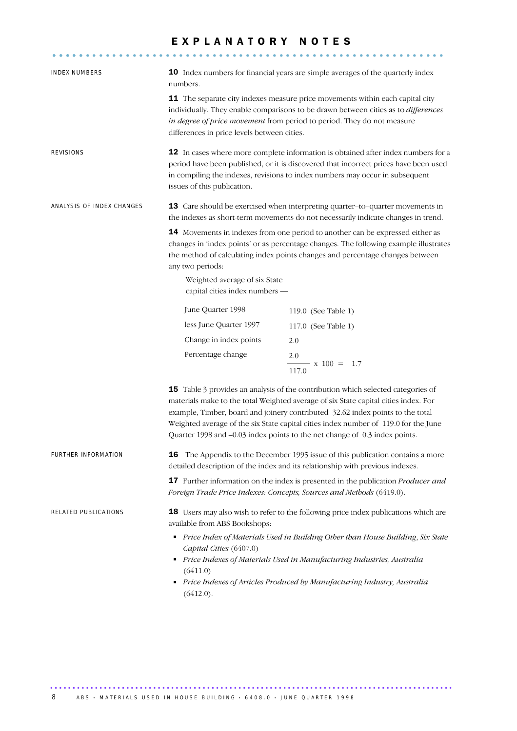## E X P L A N A T O R Y N O T E S

........................................................... .....

| INDEX NUMBERS             | 10 Index numbers for financial years are simple averages of the quarterly index<br>numbers.                                                                                                                                                                                                                                                                                                                                                                                                                          |                                                                                                                                                                                                                                     |  |  |  |
|---------------------------|----------------------------------------------------------------------------------------------------------------------------------------------------------------------------------------------------------------------------------------------------------------------------------------------------------------------------------------------------------------------------------------------------------------------------------------------------------------------------------------------------------------------|-------------------------------------------------------------------------------------------------------------------------------------------------------------------------------------------------------------------------------------|--|--|--|
|                           | 11 The separate city indexes measure price movements within each capital city<br>individually. They enable comparisons to be drawn between cities as to differences<br>in degree of price movement from period to period. They do not measure<br>differences in price levels between cities.                                                                                                                                                                                                                         |                                                                                                                                                                                                                                     |  |  |  |
| REVISIONS                 | 12 In cases where more complete information is obtained after index numbers for a<br>period have been published, or it is discovered that incorrect prices have been used<br>in compiling the indexes, revisions to index numbers may occur in subsequent<br>issues of this publication.                                                                                                                                                                                                                             |                                                                                                                                                                                                                                     |  |  |  |
| ANALYSIS OF INDEX CHANGES | 13 Care should be exercised when interpreting quarter-to-quarter movements in<br>the indexes as short-term movements do not necessarily indicate changes in trend.<br>14 Movements in indexes from one period to another can be expressed either as<br>changes in 'index points' or as percentage changes. The following example illustrates<br>the method of calculating index points changes and percentage changes between<br>any two periods:<br>Weighted average of six State<br>capital cities index numbers - |                                                                                                                                                                                                                                     |  |  |  |
|                           |                                                                                                                                                                                                                                                                                                                                                                                                                                                                                                                      |                                                                                                                                                                                                                                     |  |  |  |
|                           | June Quarter 1998                                                                                                                                                                                                                                                                                                                                                                                                                                                                                                    | 119.0 (See Table 1)                                                                                                                                                                                                                 |  |  |  |
|                           | less June Quarter 1997                                                                                                                                                                                                                                                                                                                                                                                                                                                                                               | 117.0 (See Table 1)                                                                                                                                                                                                                 |  |  |  |
|                           | Change in index points                                                                                                                                                                                                                                                                                                                                                                                                                                                                                               | 2.0                                                                                                                                                                                                                                 |  |  |  |
|                           | Percentage change                                                                                                                                                                                                                                                                                                                                                                                                                                                                                                    | 2.0<br>$\frac{1}{100}$ x 100 = 1.7<br>117.0                                                                                                                                                                                         |  |  |  |
|                           | 15 Table 3 provides an analysis of the contribution which selected categories of<br>materials make to the total Weighted average of six State capital cities index. For<br>example, Timber, board and joinery contributed 32.62 index points to the total<br>Weighted average of the six State capital cities index number of 119.0 for the June<br>Quarter 1998 and -0.03 index points to the net change of 0.3 index points.                                                                                       |                                                                                                                                                                                                                                     |  |  |  |
| FURTHER INFORMATION       |                                                                                                                                                                                                                                                                                                                                                                                                                                                                                                                      | 16 The Appendix to the December 1995 issue of this publication contains a more<br>detailed description of the index and its relationship with previous indexes.                                                                     |  |  |  |
|                           |                                                                                                                                                                                                                                                                                                                                                                                                                                                                                                                      | 17 Further information on the index is presented in the publication <i>Producer and</i><br>Foreign Trade Price Indexes: Concepts, Sources and Methods (6419.0).                                                                     |  |  |  |
| RELATED PUBLICATIONS      | 18 Users may also wish to refer to the following price index publications which are<br>available from ABS Bookshops:                                                                                                                                                                                                                                                                                                                                                                                                 |                                                                                                                                                                                                                                     |  |  |  |
|                           | Capital Cities (6407.0)<br>(6411.0)<br>(6412.0).                                                                                                                                                                                                                                                                                                                                                                                                                                                                     | Price Index of Materials Used in Building Other than House Building, Six State<br>Price Indexes of Materials Used in Manufacturing Industries, Australia<br>Price Indexes of Articles Produced by Manufacturing Industry, Australia |  |  |  |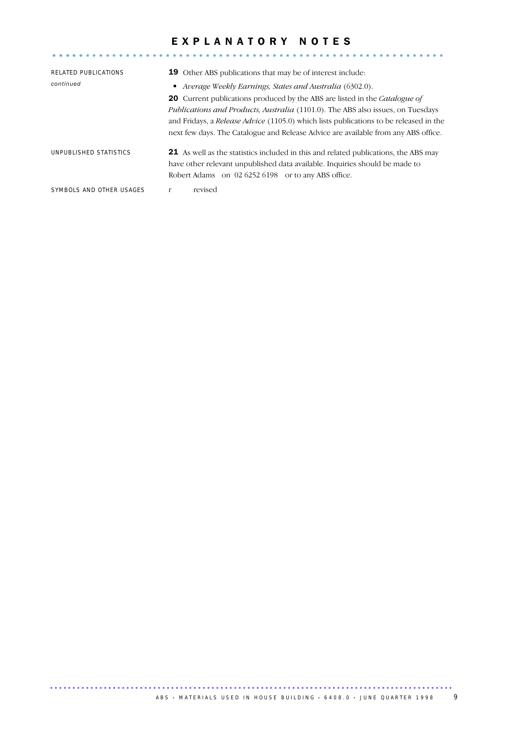## E X P L A N A T O R Y N O T E S

........................................................... .....

| RELATED PUBLICATIONS<br>continued | <b>19</b> Other ABS publications that may be of interest include:<br>• Average Weekly Earnings, States and Australia (6302.0).<br><b>20</b> Current publications produced by the ABS are listed in the <i>Catalogue of</i><br><i>Publications and Products, Australia (1101.0). The ABS also issues, on Tuesdays</i><br>and Fridays, a <i>Release Advice</i> (1105.0) which lists publications to be released in the<br>next few days. The Catalogue and Release Advice are available from any ABS office. |
|-----------------------------------|------------------------------------------------------------------------------------------------------------------------------------------------------------------------------------------------------------------------------------------------------------------------------------------------------------------------------------------------------------------------------------------------------------------------------------------------------------------------------------------------------------|
| UNPUBLISHED STATISTICS            | <b>21</b> As well as the statistics included in this and related publications, the ABS may<br>have other relevant unpublished data available. Inquiries should be made to<br>Robert Adams on 02 6252 6198 or to any ABS office.                                                                                                                                                                                                                                                                            |
| SYMBOLS AND OTHER USAGES          | revised<br>r                                                                                                                                                                                                                                                                                                                                                                                                                                                                                               |